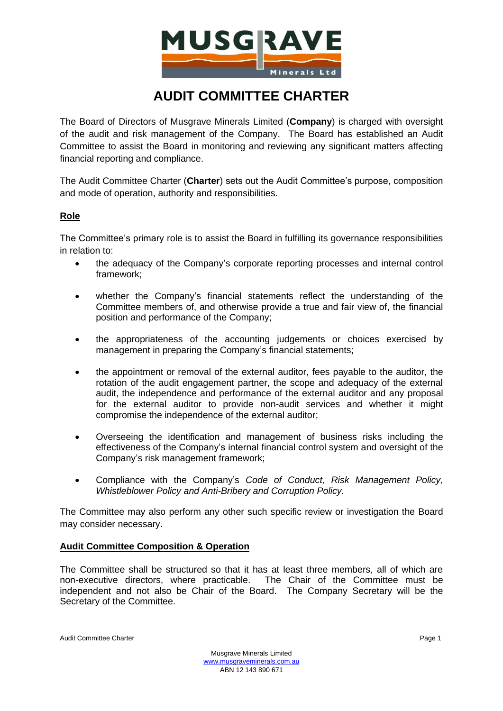

# **AUDIT COMMITTEE CHARTER**

The Board of Directors of Musgrave Minerals Limited (**Company**) is charged with oversight of the audit and risk management of the Company. The Board has established an Audit Committee to assist the Board in monitoring and reviewing any significant matters affecting financial reporting and compliance.

The Audit Committee Charter (**Charter**) sets out the Audit Committee's purpose, composition and mode of operation, authority and responsibilities.

## **Role**

The Committee's primary role is to assist the Board in fulfilling its governance responsibilities in relation to:

- the adequacy of the Company's corporate reporting processes and internal control framework;
- whether the Company's financial statements reflect the understanding of the Committee members of, and otherwise provide a true and fair view of, the financial position and performance of the Company;
- the appropriateness of the accounting judgements or choices exercised by management in preparing the Company's financial statements;
- the appointment or removal of the external auditor, fees payable to the auditor, the rotation of the audit engagement partner, the scope and adequacy of the external audit, the independence and performance of the external auditor and any proposal for the external auditor to provide non-audit services and whether it might compromise the independence of the external auditor;
- Overseeing the identification and management of business risks including the effectiveness of the Company's internal financial control system and oversight of the Company's risk management framework;
- Compliance with the Company's *Code of Conduct, Risk Management Policy, Whistleblower Policy and Anti-Bribery and Corruption Policy.*

The Committee may also perform any other such specific review or investigation the Board may consider necessary.

#### **Audit Committee Composition & Operation**

The Committee shall be structured so that it has at least three members, all of which are non-executive directors, where practicable. The Chair of the Committee must be independent and not also be Chair of the Board. The Company Secretary will be the Secretary of the Committee.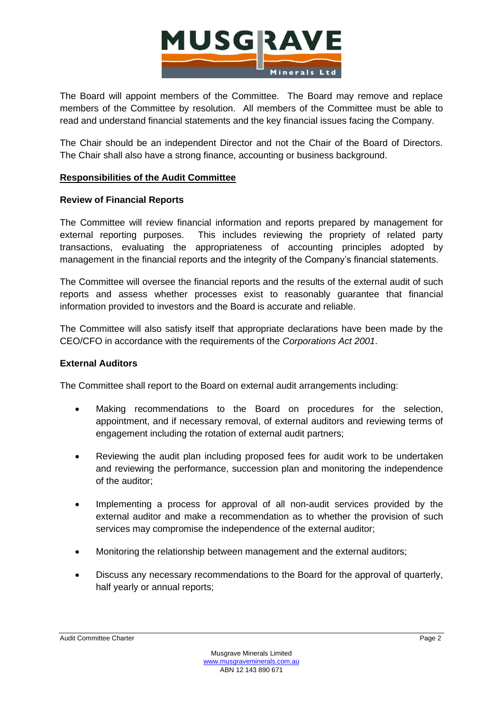

The Board will appoint members of the Committee. The Board may remove and replace members of the Committee by resolution. All members of the Committee must be able to read and understand financial statements and the key financial issues facing the Company.

The Chair should be an independent Director and not the Chair of the Board of Directors. The Chair shall also have a strong finance, accounting or business background.

## **Responsibilities of the Audit Committee**

## **Review of Financial Reports**

The Committee will review financial information and reports prepared by management for external reporting purposes. This includes reviewing the propriety of related party transactions, evaluating the appropriateness of accounting principles adopted by management in the financial reports and the integrity of the Company's financial statements.

The Committee will oversee the financial reports and the results of the external audit of such reports and assess whether processes exist to reasonably guarantee that financial information provided to investors and the Board is accurate and reliable.

The Committee will also satisfy itself that appropriate declarations have been made by the CEO/CFO in accordance with the requirements of the *Corporations Act 2001*.

#### **External Auditors**

The Committee shall report to the Board on external audit arrangements including:

- Making recommendations to the Board on procedures for the selection, appointment, and if necessary removal, of external auditors and reviewing terms of engagement including the rotation of external audit partners;
- Reviewing the audit plan including proposed fees for audit work to be undertaken and reviewing the performance, succession plan and monitoring the independence of the auditor;
- Implementing a process for approval of all non-audit services provided by the external auditor and make a recommendation as to whether the provision of such services may compromise the independence of the external auditor;
- Monitoring the relationship between management and the external auditors;
- Discuss any necessary recommendations to the Board for the approval of quarterly, half yearly or annual reports;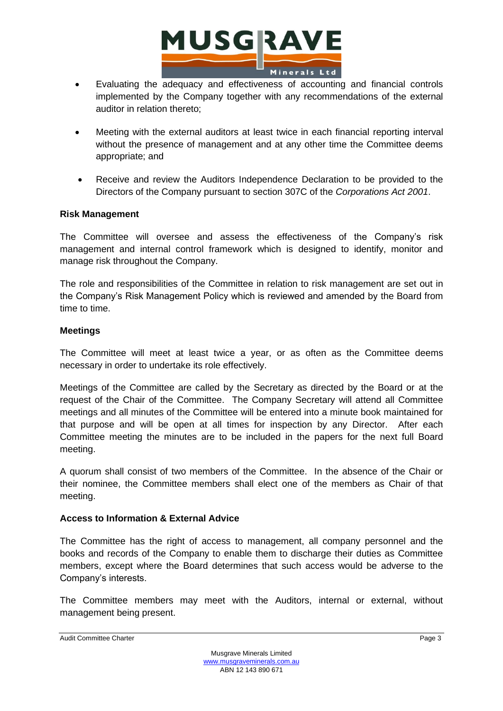

- Evaluating the adequacy and effectiveness of accounting and financial controls implemented by the Company together with any recommendations of the external auditor in relation thereto;
- Meeting with the external auditors at least twice in each financial reporting interval without the presence of management and at any other time the Committee deems appropriate; and
- Receive and review the Auditors Independence Declaration to be provided to the Directors of the Company pursuant to section 307C of the *Corporations Act 2001*.

#### **Risk Management**

The Committee will oversee and assess the effectiveness of the Company's risk management and internal control framework which is designed to identify, monitor and manage risk throughout the Company.

The role and responsibilities of the Committee in relation to risk management are set out in the Company's Risk Management Policy which is reviewed and amended by the Board from time to time.

#### **Meetings**

The Committee will meet at least twice a year, or as often as the Committee deems necessary in order to undertake its role effectively.

Meetings of the Committee are called by the Secretary as directed by the Board or at the request of the Chair of the Committee. The Company Secretary will attend all Committee meetings and all minutes of the Committee will be entered into a minute book maintained for that purpose and will be open at all times for inspection by any Director. After each Committee meeting the minutes are to be included in the papers for the next full Board meeting.

A quorum shall consist of two members of the Committee. In the absence of the Chair or their nominee, the Committee members shall elect one of the members as Chair of that meeting.

#### **Access to Information & External Advice**

The Committee has the right of access to management, all company personnel and the books and records of the Company to enable them to discharge their duties as Committee members, except where the Board determines that such access would be adverse to the Company's interests.

The Committee members may meet with the Auditors, internal or external, without management being present.

Audit Committee Charter **Page 3** Page 3